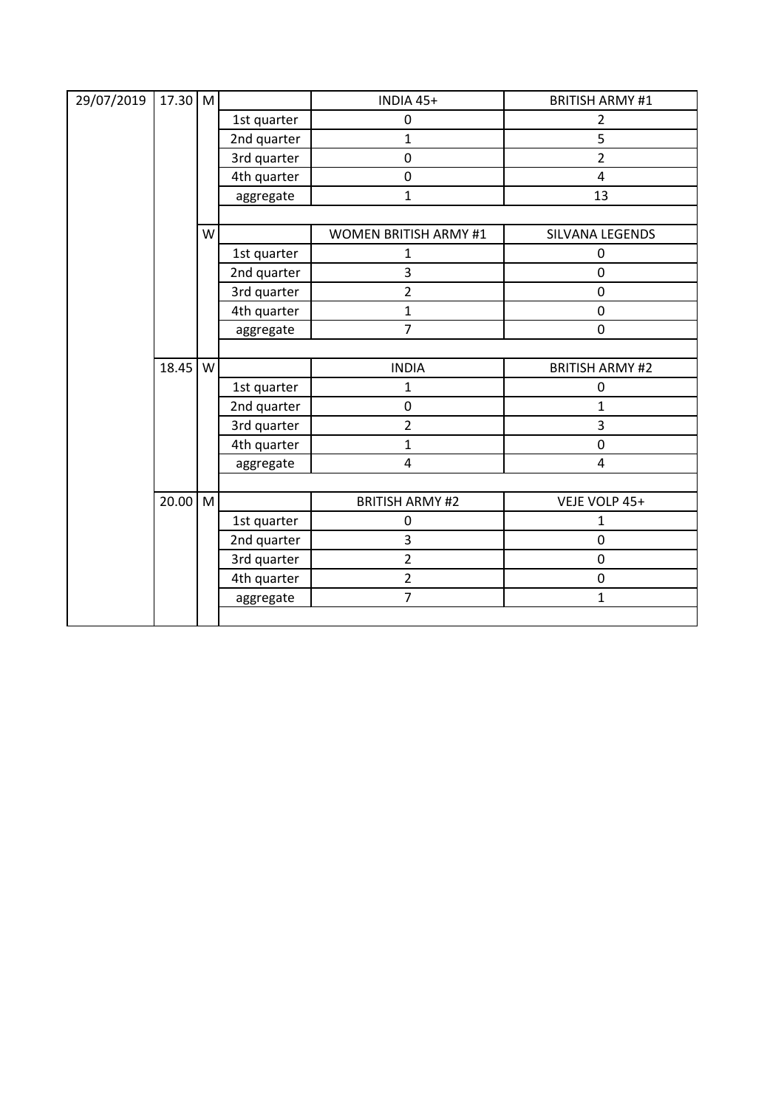| 29/07/2019 | $17.30 \mid M \mid$ |   |             | INDIA 45+              | <b>BRITISH ARMY #1</b> |  |  |
|------------|---------------------|---|-------------|------------------------|------------------------|--|--|
|            |                     |   | 1st quarter | $\pmb{0}$              | $\overline{2}$         |  |  |
|            |                     |   | 2nd quarter | $\mathbf{1}$           | 5                      |  |  |
|            |                     |   | 3rd quarter | $\boldsymbol{0}$       | $\overline{2}$         |  |  |
|            |                     |   | 4th quarter | $\boldsymbol{0}$       | $\overline{4}$<br>13   |  |  |
|            |                     |   | aggregate   | $\mathbf{1}$           |                        |  |  |
|            |                     |   |             |                        |                        |  |  |
|            |                     | W |             | WOMEN BRITISH ARMY #1  | SILVANA LEGENDS        |  |  |
|            |                     |   | 1st quarter | 1                      | 0                      |  |  |
|            |                     |   | 2nd quarter | 3                      | $\mathbf 0$            |  |  |
|            |                     |   | 3rd quarter | $\overline{2}$         | $\pmb{0}$              |  |  |
|            |                     |   | 4th quarter | $\mathbf{1}$           | $\pmb{0}$              |  |  |
|            |                     |   | aggregate   | $\overline{7}$         | $\mathbf 0$            |  |  |
|            |                     |   |             |                        |                        |  |  |
|            | 18.45               | W |             | <b>INDIA</b>           | <b>BRITISH ARMY #2</b> |  |  |
|            |                     |   | 1st quarter | $\mathbf{1}$           | 0                      |  |  |
|            |                     |   | 2nd quarter | $\pmb{0}$              | $\mathbf{1}$           |  |  |
|            |                     |   | 3rd quarter | $\overline{2}$         | $\overline{3}$         |  |  |
|            |                     |   | 4th quarter | $\mathbf{1}$           | $\mathbf 0$            |  |  |
|            |                     |   | aggregate   | 4                      | 4                      |  |  |
|            |                     |   |             |                        |                        |  |  |
|            | 20.00               | M |             | <b>BRITISH ARMY #2</b> | VEJE VOLP 45+          |  |  |
|            |                     |   | 1st quarter | 0                      | $\mathbf{1}$           |  |  |
|            |                     |   | 2nd quarter | 3                      | $\mathbf 0$            |  |  |
|            |                     |   | 3rd quarter | $\overline{2}$         | $\mathbf 0$            |  |  |
|            |                     |   | 4th quarter | $\overline{2}$         | $\mathbf 0$            |  |  |
|            |                     |   | aggregate   | $\overline{7}$         | $\mathbf{1}$           |  |  |
|            |                     |   |             |                        |                        |  |  |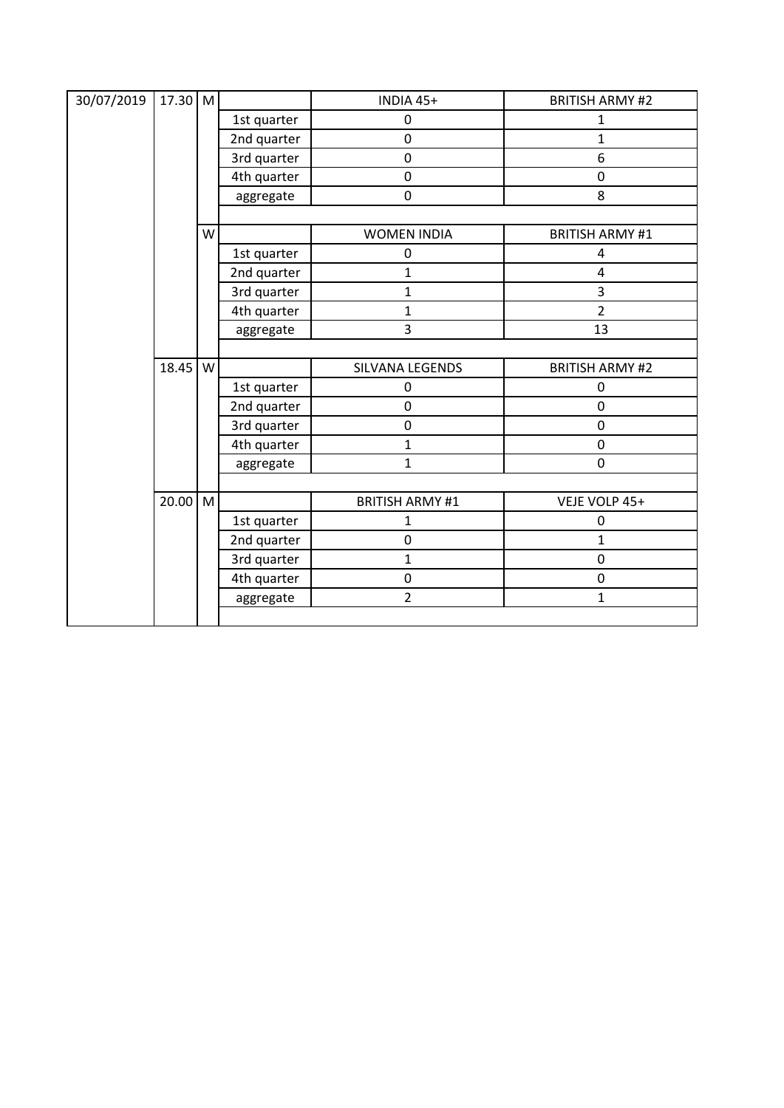| 30/07/2019 | $17.30 \mid M \mid$ |                  |             | INDIA 45+              | <b>BRITISH ARMY #2</b> |  |  |
|------------|---------------------|------------------|-------------|------------------------|------------------------|--|--|
|            |                     |                  | 1st quarter | $\pmb{0}$              | $\mathbf{1}$           |  |  |
|            |                     |                  | 2nd quarter | $\boldsymbol{0}$       | $\mathbf{1}$           |  |  |
|            |                     |                  | 3rd quarter | $\boldsymbol{0}$       | 6                      |  |  |
|            |                     |                  | 4th quarter | $\boldsymbol{0}$       | $\mathbf 0$            |  |  |
|            |                     |                  | aggregate   | $\boldsymbol{0}$       | 8                      |  |  |
|            |                     |                  |             |                        |                        |  |  |
|            |                     | W                |             | <b>WOMEN INDIA</b>     | <b>BRITISH ARMY #1</b> |  |  |
|            |                     |                  | 1st quarter | 0                      | 4                      |  |  |
|            |                     |                  | 2nd quarter | $\mathbf{1}$           | $\overline{4}$         |  |  |
|            |                     |                  | 3rd quarter | $\mathbf{1}$           | 3                      |  |  |
|            |                     |                  | 4th quarter | $\mathbf 1$            | $\overline{2}$         |  |  |
|            |                     |                  | aggregate   | 3                      | 13                     |  |  |
|            |                     |                  |             |                        |                        |  |  |
|            | 18.45               | W                |             | SILVANA LEGENDS        | <b>BRITISH ARMY #2</b> |  |  |
|            |                     |                  | 1st quarter | $\mathbf 0$            | $\boldsymbol{0}$       |  |  |
|            |                     | $\boldsymbol{0}$ |             |                        |                        |  |  |
|            |                     |                  | 3rd quarter | $\mathbf 0$            |                        |  |  |
|            |                     |                  | 4th quarter | $\mathbf{1}$           | $\mathbf 0$            |  |  |
|            |                     |                  | aggregate   | $\mathbf{1}$           | $\mathbf 0$            |  |  |
|            |                     |                  |             |                        |                        |  |  |
|            | 20.00               | M                |             | <b>BRITISH ARMY #1</b> | VEJE VOLP 45+          |  |  |
|            |                     |                  | 1st quarter | $\mathbf{1}$           | $\boldsymbol{0}$       |  |  |
|            |                     |                  | 2nd quarter | $\boldsymbol{0}$       | $\mathbf{1}$           |  |  |
|            |                     |                  | 3rd quarter | $\mathbf{1}$           | $\mathbf 0$            |  |  |
|            |                     |                  | 4th quarter | $\boldsymbol{0}$       | $\mathbf 0$            |  |  |
|            |                     |                  |             |                        |                        |  |  |
|            |                     |                  | aggregate   | $\overline{2}$         | $\mathbf{1}$           |  |  |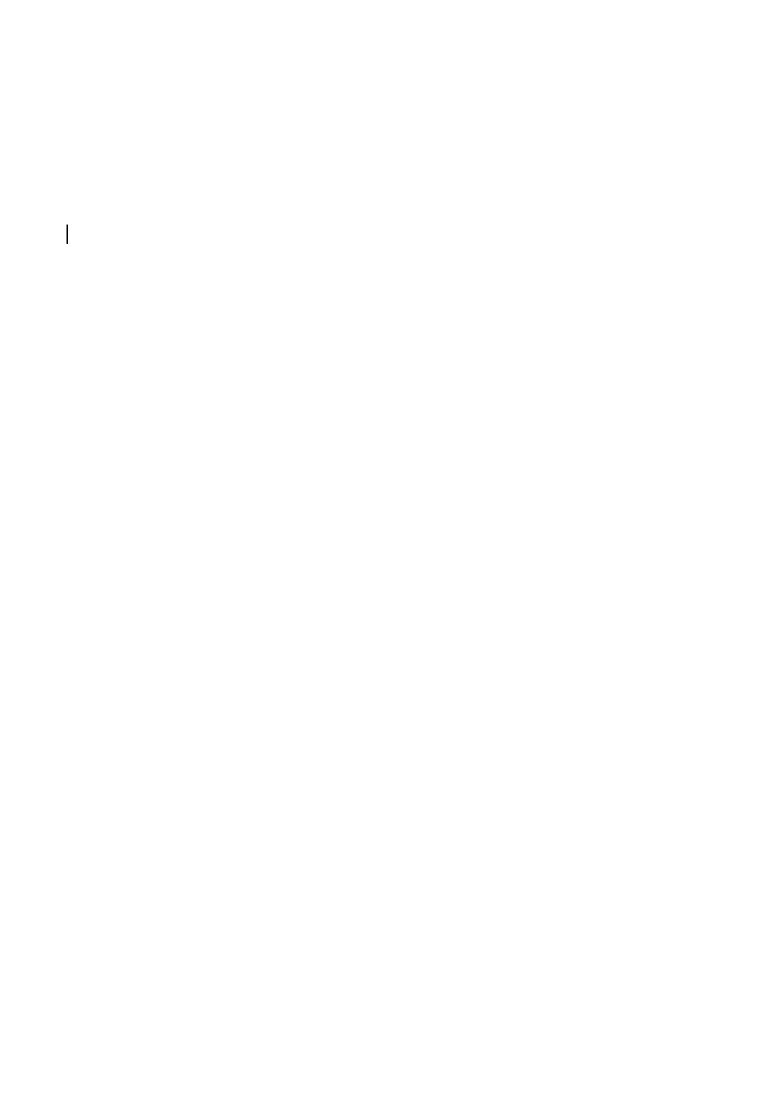$\overline{\mathbf{I}}$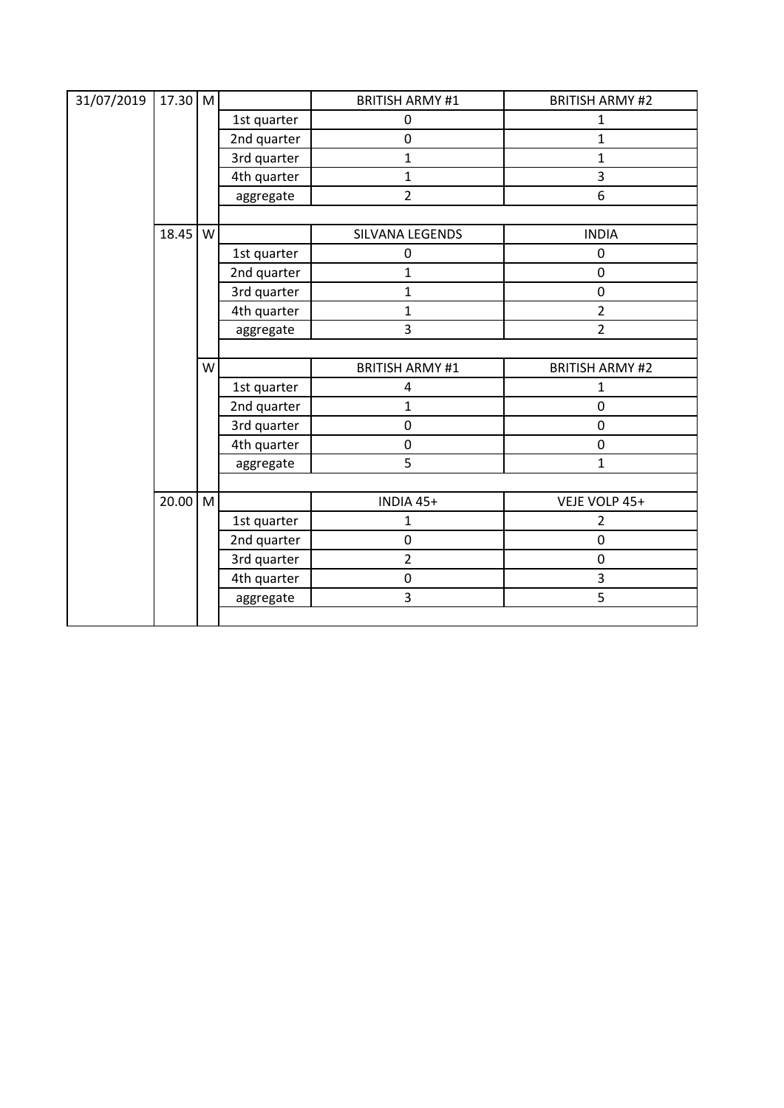| 31/07/2019 | 17.30 | M         |                        | <b>BRITISH ARMY #1</b> | <b>BRITISH ARMY #2</b> |  |  |  |
|------------|-------|-----------|------------------------|------------------------|------------------------|--|--|--|
|            |       |           | 1st quarter            | 0                      | $\mathbf{1}$           |  |  |  |
|            |       |           | 2nd quarter            | 0                      | $\mathbf{1}$           |  |  |  |
|            |       |           | 3rd quarter            | $\mathbf{1}$           | $\mathbf{1}$           |  |  |  |
|            |       |           | 4th quarter            | $\mathbf{1}$           | 3                      |  |  |  |
|            |       |           | aggregate              | $\overline{2}$         | 6                      |  |  |  |
|            |       |           |                        |                        |                        |  |  |  |
|            | 18.45 | W         |                        | SILVANA LEGENDS        | <b>INDIA</b>           |  |  |  |
|            |       |           | 1st quarter            | 0                      | $\boldsymbol{0}$       |  |  |  |
|            |       |           | 2nd quarter            | 1                      | $\boldsymbol{0}$       |  |  |  |
|            |       |           | 3rd quarter            | $\mathbf{1}$           | $\mathbf 0$            |  |  |  |
|            |       |           | 4th quarter            | $\mathbf{1}$           | $\overline{2}$         |  |  |  |
|            |       |           | aggregate              | 3                      | $\overline{2}$         |  |  |  |
|            |       |           |                        |                        |                        |  |  |  |
|            |       | W         | <b>BRITISH ARMY #1</b> |                        | <b>BRITISH ARMY #2</b> |  |  |  |
|            |       |           | 1st quarter            | 4                      | $\mathbf{1}$           |  |  |  |
|            |       |           | 2nd quarter            | $\mathbf{1}$           | 0                      |  |  |  |
|            |       |           | 3rd quarter            | 0                      | $\mathbf 0$            |  |  |  |
|            |       |           | 4th quarter            | 0<br>0                 |                        |  |  |  |
|            |       |           | aggregate              | 5                      | $\mathbf{1}$           |  |  |  |
|            |       |           |                        |                        |                        |  |  |  |
|            | 20.00 | ${\sf M}$ |                        | INDIA 45+              | VEJE VOLP 45+          |  |  |  |
|            |       |           | 1st quarter            | 1                      | $\overline{2}$         |  |  |  |
|            |       |           | 2nd quarter            | $\mathbf 0$            | $\boldsymbol{0}$       |  |  |  |
|            |       |           | 3rd quarter            | $\overline{2}$         | $\mathbf 0$            |  |  |  |
|            |       |           | 4th quarter            | $\boldsymbol{0}$       | 3                      |  |  |  |
|            |       |           | aggregate              | 5                      |                        |  |  |  |
|            |       |           |                        |                        |                        |  |  |  |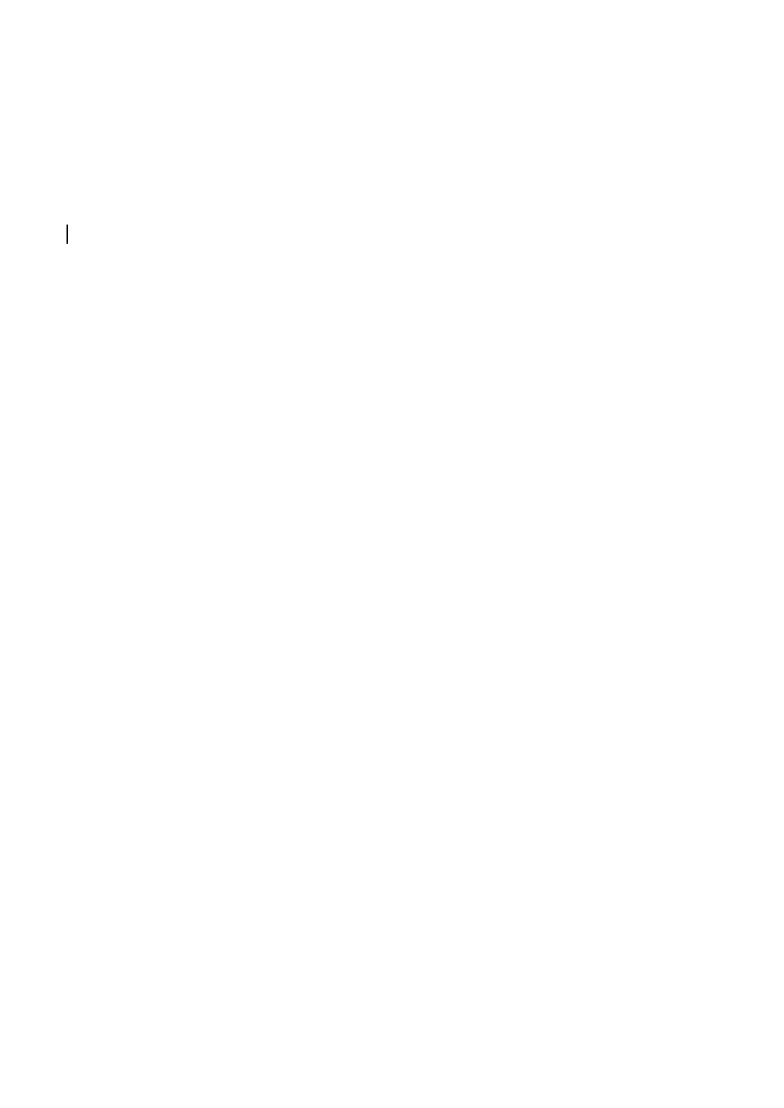$\overline{\mathbf{I}}$